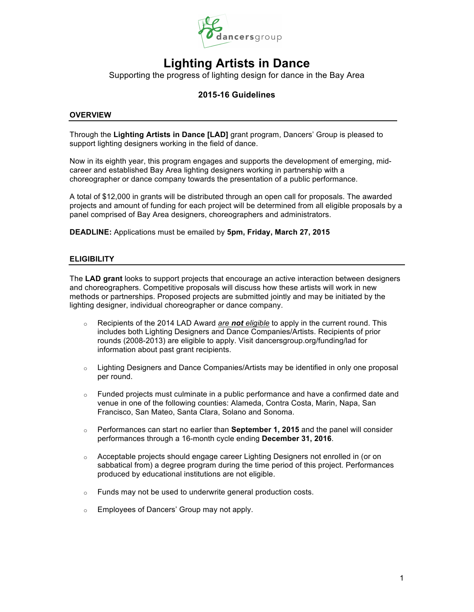

Supporting the progress of lighting design for dance in the Bay Area

## **2015-16 Guidelines**

#### **OVERVIEW**

Through the **Lighting Artists in Dance [LAD]** grant program, Dancers' Group is pleased to support lighting designers working in the field of dance.

Now in its eighth year, this program engages and supports the development of emerging, midcareer and established Bay Area lighting designers working in partnership with a choreographer or dance company towards the presentation of a public performance.

A total of \$12,000 in grants will be distributed through an open call for proposals. The awarded projects and amount of funding for each project will be determined from all eligible proposals by a panel comprised of Bay Area designers, choreographers and administrators.

**DEADLINE:** Applications must be emailed by **5pm, Friday, March 27, 2015**

#### **ELIGIBILITY**

The **LAD grant** looks to support projects that encourage an active interaction between designers and choreographers. Competitive proposals will discuss how these artists will work in new methods or partnerships. Proposed projects are submitted jointly and may be initiated by the lighting designer, individual choreographer or dance company.

- o Recipients of the 2014 LAD Award *are not eligible* to apply in the current round. This includes both Lighting Designers and Dance Companies/Artists. Recipients of prior rounds (2008-2013) are eligible to apply. Visit dancersgroup.org/funding/lad for information about past grant recipients.
- $\circ$  Lighting Designers and Dance Companies/Artists may be identified in only one proposal per round.
- $\circ$  Funded projects must culminate in a public performance and have a confirmed date and venue in one of the following counties: Alameda, Contra Costa, Marin, Napa, San Francisco, San Mateo, Santa Clara, Solano and Sonoma.
- o Performances can start no earlier than **September 1, 2015** and the panel will consider performances through a 16-month cycle ending **December 31, 2016**.
- o Acceptable projects should engage career Lighting Designers not enrolled in (or on sabbatical from) a degree program during the time period of this project. Performances produced by educational institutions are not eligible.
- o Funds may not be used to underwrite general production costs.
- o Employees of Dancers' Group may not apply.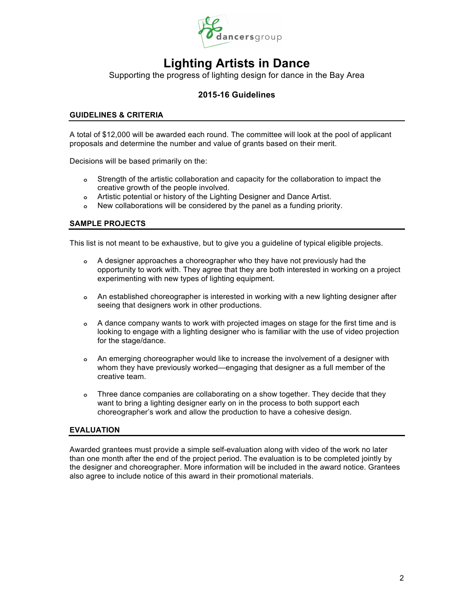

Supporting the progress of lighting design for dance in the Bay Area

## **2015-16 Guidelines**

### **GUIDELINES & CRITERIA**

A total of \$12,000 will be awarded each round. The committee will look at the pool of applicant proposals and determine the number and value of grants based on their merit.

Decisions will be based primarily on the:

- **o** Strength of the artistic collaboration and capacity for the collaboration to impact the creative growth of the people involved.
- **o** Artistic potential or history of the Lighting Designer and Dance Artist.
- **o** New collaborations will be considered by the panel as a funding priority.

#### **SAMPLE PROJECTS**

This list is not meant to be exhaustive, but to give you a guideline of typical eligible projects.

- **o** A designer approaches a choreographer who they have not previously had the opportunity to work with. They agree that they are both interested in working on a project experimenting with new types of lighting equipment.
- **o** An established choreographer is interested in working with a new lighting designer after seeing that designers work in other productions.
- **o** A dance company wants to work with projected images on stage for the first time and is looking to engage with a lighting designer who is familiar with the use of video projection for the stage/dance.
- **o** An emerging choreographer would like to increase the involvement of a designer with whom they have previously worked—engaging that designer as a full member of the creative team.
- **o** Three dance companies are collaborating on a show together. They decide that they want to bring a lighting designer early on in the process to both support each choreographer's work and allow the production to have a cohesive design.

### **EVALUATION**

Awarded grantees must provide a simple self-evaluation along with video of the work no later than one month after the end of the project period. The evaluation is to be completed jointly by the designer and choreographer. More information will be included in the award notice. Grantees also agree to include notice of this award in their promotional materials.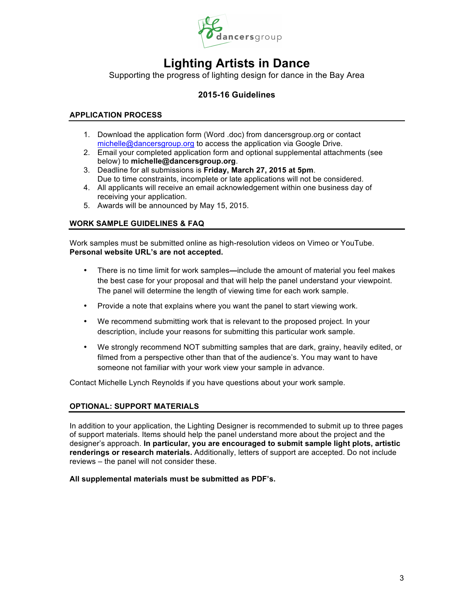

Supporting the progress of lighting design for dance in the Bay Area

## **2015-16 Guidelines**

## **APPLICATION PROCESS**

- 1. Download the application form (Word .doc) from dancersgroup.org or contact michelle@dancersgroup.org to access the application via Google Drive.
- 2. Email your completed application form and optional supplemental attachments (see below) to **michelle@dancersgroup.org**.
- 3. Deadline for all submissions is **Friday, March 27, 2015 at 5pm**. Due to time constraints, incomplete or late applications will not be considered.
- 4. All applicants will receive an email acknowledgement within one business day of receiving your application.
- 5. Awards will be announced by May 15, 2015.

## **WORK SAMPLE GUIDELINES & FAQ**

Work samples must be submitted online as high-resolution videos on Vimeo or YouTube. **Personal website URL's are not accepted.**

- There is no time limit for work samples**—**include the amount of material you feel makes the best case for your proposal and that will help the panel understand your viewpoint. The panel will determine the length of viewing time for each work sample.
- Provide a note that explains where you want the panel to start viewing work.
- We recommend submitting work that is relevant to the proposed project. In your description, include your reasons for submitting this particular work sample.
- We strongly recommend NOT submitting samples that are dark, grainy, heavily edited, or filmed from a perspective other than that of the audience's. You may want to have someone not familiar with your work view your sample in advance.

Contact Michelle Lynch Reynolds if you have questions about your work sample.

## **OPTIONAL: SUPPORT MATERIALS**

In addition to your application, the Lighting Designer is recommended to submit up to three pages of support materials. Items should help the panel understand more about the project and the designer's approach. **In particular, you are encouraged to submit sample light plots, artistic renderings or research materials.** Additionally, letters of support are accepted. Do not include reviews – the panel will not consider these.

#### **All supplemental materials must be submitted as PDF's.**